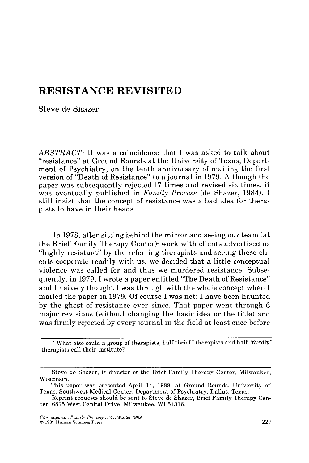# **RESISTANCE REVISITED**

Steve de Shazer

*ABSTRACT:* It was a coincidence that I was asked to talk about "resistance" at Ground Rounds at the University of Texas, Department of Psychiatry, on the tenth anniversary of mailing the first version of "Death of Resistance" to a journal in 1979. Although the paper was subsequently rejected 17 times and revised six times, it was eventually published in *Family Process* (de Shazer, 1984). I still insist that the concept of resistance was a bad idea for therapists to have in their heads.

In 1978, after sitting behind the mirror and seeing our team (at the Brief Family Therapy Center)<sup>1</sup> work with clients advertised as "highly resistant" by the referring therapists and seeing these clients cooperate readily with us, we decided that a little conceptual violence was called for and thus we murdered resistance. Subsequently, in 1979, I wrote a paper entitled "The Death of Resistance" and I naively thought I was through with the whole concept when I mailed the paper in 1979. Of course I was not: I have been haunted by the ghost of resistance ever since. That paper went through 6 major revisions (without changing the basic idea or the title) and was firmly rejected by every journal in the field at least once before

<sup>&</sup>lt;sup>1</sup> What else could a group of therapists, half "brief" therapists and half "family" therapists call their institute?

Steve de Shazer, is director of the Brief Family Therapy Center, Milwaukee, Wisconsin.

This paper was presented April 14, 1989, at Ground Rounds, University of Texas, Southwest Medical Center, Department of Psychiatry, Dallas, Texas.

Reprint requests should be sent to Steve de Shazer, Brief Family Therapy Center, 6815 West Capitol Drive, Milwaukee, WI 54316.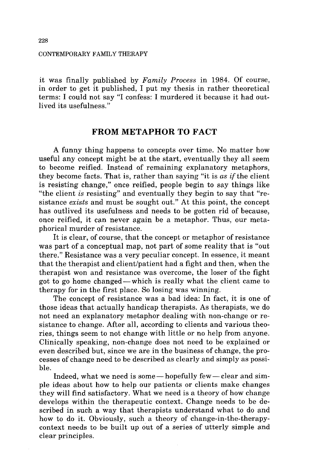#### CONTEMPORARY FAMILY THERAPY

it was finally published by *Family Process* in 1984. Of course, in order to get it published, I put my thesis in rather theoretical terms: I could not say "I confess: I murdered it because it had outlived its usefulness."

# **FROM METAPHOR TO FACT**

A funny thing happens to concepts over time. No matter how useful any concept might be at the start, eventually they all seem to become reified. Instead of remaining explanatory metaphors, they become facts. That is, rather than saying "it is *as* if the client is resisting change," once reified, people begin to say things like "the client *is* resisting" and eventually they begin to say that "resistance *exists* and must be sought out." At this point, the concept has outlived its usefulness and needs to be gotten rid of because, once reified, it can never again be a metaphor. Thus, our metaphorical murder of resistance.

It is clear, of course, that the concept or metaphor of resistance was part of a conceptual map, not part of some reality that is "out there." Resistance was a very peculiar concept. In essence, it meant that the therapist and client/patient had a fight and then, when the therapist won and resistance was overcome, the loser of the fight got to go home changed--which is really what the client came to therapy for in the first place. So losing was winning.

The concept of resistance was a bad idea: In fact, it is one of those ideas that actually handicap therapists. As therapists, we do not need an explanatory metaphor dealing with non-change or resistance to change. After all, according to clients and various theories, things seem to not change with little or no help from anyone. Clinically speaking, non-change does not need to be explained or even described but, since we are in the business of change, the processes of change need to be described as clearly and simply as possible.

Indeed, what we need is some—hopefully few—clear and simple ideas about how to help our patients or clients make changes they will find satisfactory. What we need is a theory of how change develops within the therapeutic context. Change needs to be described in such a way that therapists understand what to do and how to do it. Obviously, such a theory of change-in-the-therapycontext needs to be built up out of a series of utterly simple and clear principles.

**228**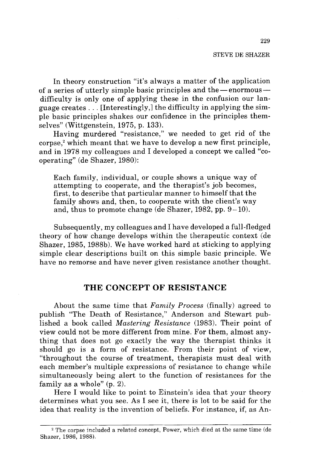#### STEVE DE SHAZER

In theory construction "it's always a matter of the application of a series of utterly simple basic principles and the  $-$  enormous $$ difficulty is only one of applying these in the confusion our language creates... [Interestingly,] the difficulty in applying the simple basic principles shakes our confidence in the principles themselves" (Wittgenstein, 1975, p. 133).

Having murdered "resistance," we needed to get rid of the corpse,<sup>2</sup> which meant that we have to develop a new first principle, and in 1978 my colleagues and I developed a concept we called "cooperating" (de Shazer, 1980):

Each family, individual, or couple shows a unique way of attempting to cooperate, and the therapist's job becomes, first, to describe that particular manner to himself that the family shows and, then, to cooperate with the client's way and, thus to promote change (de Shazer,  $1982$ , pp.  $9-10$ ).

Subsequently, my colleagues and I have developed a full-fledged theory of how change develops within the therapeutic context (de Shazer, 1985, 1988b). We have worked hard at sticking to applying simple clear descriptions built on this simple basic principle. We have no remorse and have never given resistance another thought.

## **THE CONCEPT OF RESISTANCE**

About the same time that *Family Process* (finally) agreed to publish "The Death of Resistance," Anderson and Stewart published a book called *Mastering Resistance* (1983). Their point of view could not be more different from mine. For them, almost anything that does not go exactly the way the therapist thinks it should go is a form of resistance. From their point of view, "throughout the course of treatment, therapists must deal with each member's multiple expressions of resistance to change while simultaneously being alert to the function of resistances for the family as a whole" (p. 2).

Here I would like to point to Einstein's idea that your theory determines what you see. As I see it, there is lot to be said for the idea that reality is the invention of beliefs. For instance, if, as An-

<sup>2</sup> The corpse included a related concept, Power, which died at the same time (de Shazer, 1986, 1988).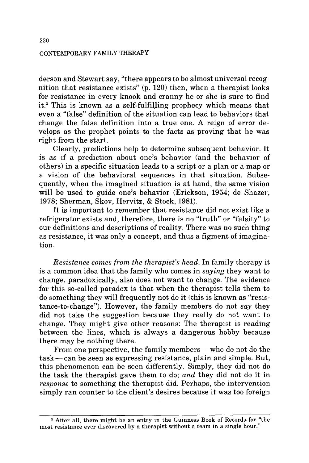### CONTEMPORARY FAMILY THERAPY

derson and Stewart say, "there appears to be almost universal recognition that resistance exists" (p. 120) then, when a therapist looks for resistance in every knook and cranny he or she is sure to find it.<sup>3</sup> This is known as a self-fulfilling prophecy which means that even a "false" definition of the situation can lead to behaviors that change the false definition into a true one. A reign of error develops as the prophet points to the facts as proving that he was right from the start.

Clearly, predictions help to determine subsequent behavior. It is as if a prediction about one's behavior (and the behavior of others) in a specific situation leads to a script or a plan or a map or a vision of the behavioral sequences in that situation. Subsequently, when the imagined situation is at hand, the same vision will be used to guide one's behavior (Erickson, 1954; de Shazer, 1978; Sherman, Skov, Hervitz, & Stock, 1981).

It is important to remember that resistance did not exist like a refrigerator exists and, therefore, there is no "truth" or "falsity" to our definitions and descriptions of reality. There was no such thing as resistance, it was only a concept, and thus a figment of imagination.

*Resistance comes from the therapist's head.* In family therapy it is a common idea that the family who comes in *saying* they want to change, paradoxically, also does not want to change. The evidence for this so-called paradox is that when the therapist tells them to do something they will frequently not do it (this is known as "resistance-to-change"). However, the family members do not *say* they did not take the suggestion because they really do not want to change. They might give other reasons: The therapist is reading between the lines, which is always a dangerous hobby because there may be nothing there.

From one perspective, the family members—who do not do the  $task - can$  be seen as expressing resistance, plain and simple. But, this phenomenon can be seen differently. Simply, they did not do the task the therapist gave them to do; *and* they did not do it in *response* to something the therapist did. Perhaps, the intervention simply ran counter to the client's desires because it was too foreign

<sup>3</sup> After all, there might be an entry in the Guinness Book of Records for "the most resistance ever discovered by a therapist without a team in a single hour."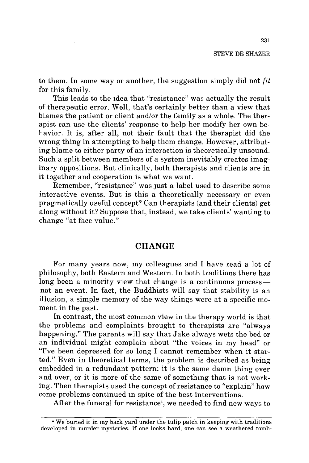to them. In some way or another, the suggestion simply did not *fit*  for this family.

This leads to the idea that "resistance" was actually the result of therapeutic error. Well, that's certainly better than a view that blames the patient or client and/or the family as a whole. The therapist can use the clients' response to help her modify her own behavior. It is, after all, not their fault that the therapist did the wrong thing in attempting to help them change. However, attributing blame to either party of an interaction is theoretically unsound. Such a split between members of a system inevitably creates imaginary oppositions. But clinically, both therapists and clients are in it together and cooperation is what we want.

Remember, "resistance" was just a label used to describe some interactive events. But is this a theoretically necessary or even pragmatically useful concept? Can therapists (and their clients) get along without it? Suppose that, instead, we take clients' wanting to change "at face value."

# **CHANGE**

For many years now, my colleagues and I have read a lot of philosophy, both Eastern and Western. In both traditions there has long been a minority view that change is a continuous processnot an event. In fact, the Buddhists will say that stability is an illusion, a simple memory of the way things were at a specific moment in the past.

In contrast, the most common view in the therapy world is that the problems and complaints brought to therapists are "always happening." The parents will say that Jake always wets the bed or an individual might complain about "the voices in my head" or "I've been depressed for so long I cannot remember when it started." Even in theoretical terms, the problem is described as being embedded in a redundant pattern: it is the same damn thing over and over, or it is more of the same of something that is not working. Then therapists used the concept of resistance to "explain" how come problems continued in spite of the best interventions.

After the funeral for resistance<sup>4</sup>, we needed to find new ways to

<sup>4</sup> We buried it in my back yard under the tulip patch in keeping with traditions developed in murder mysteries. If one looks hard, one can see a weathered tomb-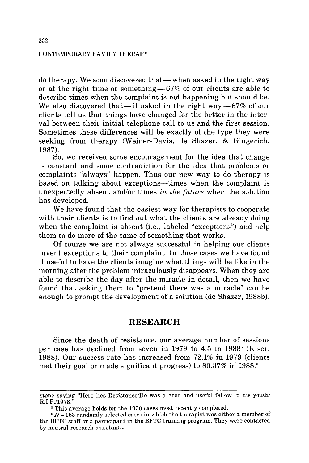#### CONTEMPORARY FAMILY THERAPY

do therapy. We soon discovered that—when asked in the right way or at the right time or something  $-67\%$  of our clients are able to describe times when the complaint is not happening but should be. We also discovered that-if asked in the right way- $67\%$  of our clients tell us that things have changed for the better in the interval between their initial telephone call to us and the first session. Sometimes these differences will be exactly of the type they were seeking from therapy (Weiner-Davis, de Shazer, & Gingerich, 1987).

So, we received some encouragement for the idea that change is constant and some contradiction for the idea that problems or complaints "always" happen. Thus our new way to do therapy is based on talking about exceptions--times when the complaint is unexpectedly absent and/or times *in the future* when the solution has developed.

We have found that the easiest way for therapists to cooperate with their clients is to find out what the clients are already doing when the complaint is absent (i.e., labeled "exceptions") and help them to do more of the same of something that works.

Of course we are not always successful in helping our clients invent exceptions to their complaint. In those cases we have found it useful to have the clients imagine what things will be like in the morning after the problem miraculously disappears. When they are able to describe the day after the miracle in detail, then we have found that asking them to "pretend there was a miracle" can be enough to prompt the development of a solution (de Shazer, 1988b).

### **RESEARCH**

Since the death of resistance, our average number of sessions per case has declined from seven in 1979 to 4.5 in  $1988^5$  (Kiser, 1988). Our success rate has increased from 72.1% in 1979 (clients met their goal or made significant progress) to 80.37% in 1988.<sup>6</sup>

stone saying "Here lies Resistance/He was a good and useful fellow in his youth/ R.I.P./1978."

<sup>&</sup>lt;sup>5</sup> This average holds for the 1000 cases most recently completed.

 $N = 163$  randomly selected cases in which the therapist was either a member of the BFTC staff or a participant in the BFTC training program. They were contacted by neutral research assistants.